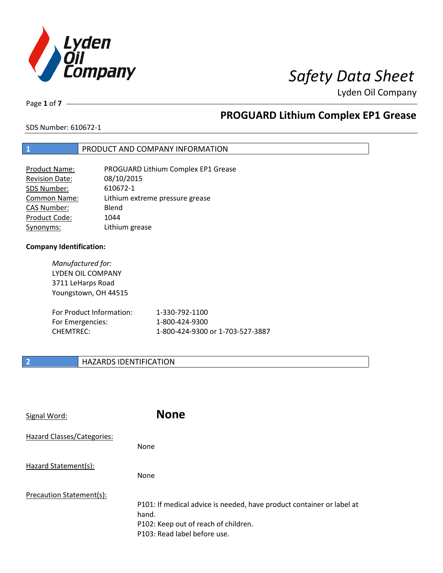

# *Safety Data Sheet*

Lyden Oil Company

Page **1** of **7**

# **PROGUARD Lithium Complex EP1 Grease**

SDS Number: 610672-1

### **1** PRODUCT AND COMPANY INFORMATION

| <b>Product Name:</b>  | PROGUARD Lithium Complex EP1 Grease |
|-----------------------|-------------------------------------|
| <b>Revision Date:</b> | 08/10/2015                          |
| SDS Number:           | 610672-1                            |
| <b>Common Name:</b>   | Lithium extreme pressure grease     |
| <b>CAS Number:</b>    | Blend                               |
| Product Code:         | 1044                                |
| Synonyms:             | Lithium grease                      |

### **Company Identification:**

*Manufactured for:*  LYDEN OIL COMPANY 3711 LeHarps Road Youngstown, OH 44515

| For Product Information: | 1-330-792-1100                   |
|--------------------------|----------------------------------|
| For Emergencies:         | 1-800-424-9300                   |
| CHEMTREC:                | 1-800-424-9300 or 1-703-527-3887 |

### **2 HAZARDS IDENTIFICATION**

| Signal Word:               | <b>None</b>                                                                                                                                            |
|----------------------------|--------------------------------------------------------------------------------------------------------------------------------------------------------|
| Hazard Classes/Categories: | <b>None</b>                                                                                                                                            |
| Hazard Statement(s):       | <b>None</b>                                                                                                                                            |
| Precaution Statement(s):   | P101: If medical advice is needed, have product container or label at<br>hand.<br>P102: Keep out of reach of children.<br>P103: Read label before use. |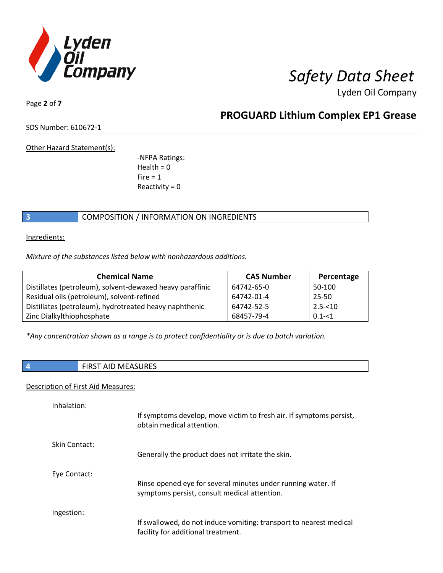

Page **2** of **7**

## **PROGUARD Lithium Complex EP1 Grease**

SDS Number: 610672-1

Other Hazard Statement(s):

-NFPA Ratings:  $Health = 0$  $Fire = 1$ Reactivity  $= 0$ 

### **3** COMPOSITION / INFORMATION ON INGREDIENTS

Ingredients:

*Mixture of the substances listed below with nonhazardous additions.*

| <b>Chemical Name</b>                                      | <b>CAS Number</b> | Percentage |
|-----------------------------------------------------------|-------------------|------------|
| Distillates (petroleum), solvent-dewaxed heavy paraffinic | 64742-65-0        | 50-100     |
| Residual oils (petroleum), solvent-refined                | 64742-01-4        | $25 - 50$  |
| Distillates (petroleum), hydrotreated heavy naphthenic    | 64742-52-5        | $2.5 - 10$ |
| Zinc Dialkylthiophosphate                                 | 68457-79-4        | $0.1 - 51$ |

*\*Any concentration shown as a range is to protect confidentiality or is due to batch variation.*

### **4 FIRST AID MEASURES**

### Description of First Aid Measures:

| Inhalation:   | If symptoms develop, move victim to fresh air. If symptoms persist,<br>obtain medical attention.             |
|---------------|--------------------------------------------------------------------------------------------------------------|
| Skin Contact: | Generally the product does not irritate the skin.                                                            |
| Eye Contact:  | Rinse opened eye for several minutes under running water. If<br>symptoms persist, consult medical attention. |
| Ingestion:    | If swallowed, do not induce vomiting: transport to nearest medical<br>facility for additional treatment.     |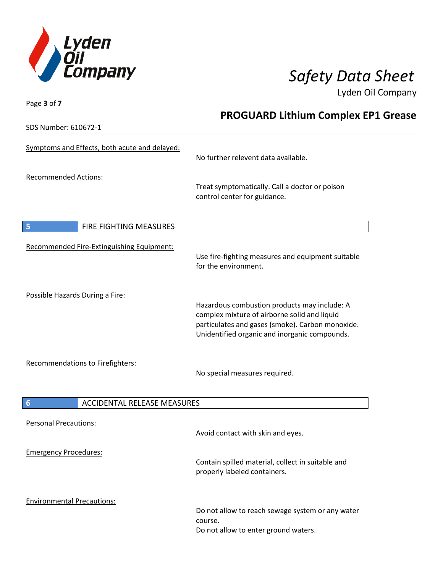

SDS Number: 610672-1

Page **3** of **7**

# **PROGUARD Lithium Complex EP1 Grease**

| <u>ב-1 לטטבט . ושטוווטטו כשכ</u>                      |                                                                                                                                                                                                   |
|-------------------------------------------------------|---------------------------------------------------------------------------------------------------------------------------------------------------------------------------------------------------|
| Symptoms and Effects, both acute and delayed:         | No further relevent data available.                                                                                                                                                               |
| <b>Recommended Actions:</b>                           | Treat symptomatically. Call a doctor or poison<br>control center for guidance.                                                                                                                    |
| $\overline{\mathbf{5}}$<br>FIRE FIGHTING MEASURES     |                                                                                                                                                                                                   |
| Recommended Fire-Extinguishing Equipment:             | Use fire-fighting measures and equipment suitable<br>for the environment.                                                                                                                         |
| Possible Hazards During a Fire:                       | Hazardous combustion products may include: A<br>complex mixture of airborne solid and liquid<br>particulates and gases (smoke). Carbon monoxide.<br>Unidentified organic and inorganic compounds. |
| Recommendations to Firefighters:                      | No special measures required.                                                                                                                                                                     |
| $6\phantom{1}6$<br><b>ACCIDENTAL RELEASE MEASURES</b> |                                                                                                                                                                                                   |
| <b>Personal Precautions:</b>                          | Avoid contact with skin and eyes.                                                                                                                                                                 |
| <b>Emergency Procedures:</b>                          | Contain spilled material, collect in suitable and<br>properly labeled containers.                                                                                                                 |
| <b>Environmental Precautions:</b>                     | Do not allow to reach sewage system or any water<br>course.<br>Do not allow to enter ground waters.                                                                                               |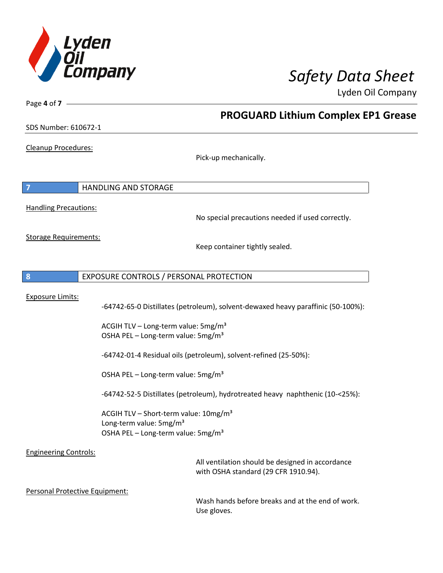

**PROGUARD Lithium Complex EP1 Grease**

Lyden Oil Company

SDS Number: 610672-1

Cleanup Procedures:

Page **4** of **7**

Pick-up mechanically.

**7** HANDLING AND STORAGE Handling Precautions: No special precautions needed if used correctly. Storage Requirements: Keep container tightly sealed. **8** EXPOSURE CONTROLS / PERSONAL PROTECTION Exposure Limits: -64742-65-0 Distillates (petroleum), solvent-dewaxed heavy paraffinic (50-100%): ACGIH TLV – Long-term value:  $5mg/m<sup>3</sup>$ OSHA PEL – Long-term value: 5mg/m<sup>3</sup> -64742-01-4 Residual oils (petroleum), solvent-refined (25-50%): OSHA PEL – Long-term value:  $5\,\text{mg/m}^3$ -64742-52-5 Distillates (petroleum), hydrotreated heavy naphthenic (10-<25%): ACGIH TLV – Short-term value:  $10\,\text{mg/m}^3$ Long-term value: 5mg/m<sup>3</sup> OSHA PEL – Long-term value:  $5\,\text{mg/m}^3$ Engineering Controls: All ventilation should be designed in accordance with OSHA standard (29 CFR 1910.94). Personal Protective Equipment: Wash hands before breaks and at the end of work. Use gloves.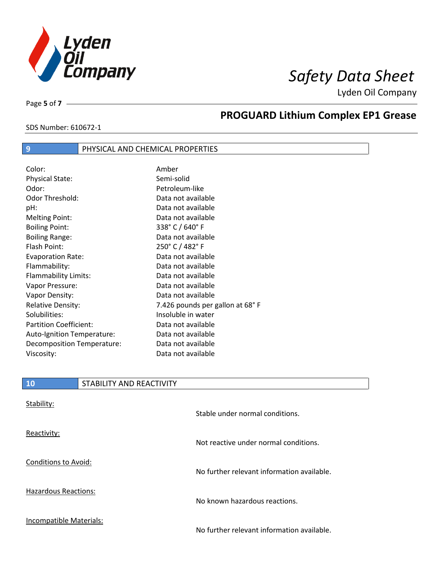

SDS Number: 610672-1

Page **5** of **7**

# **PROGUARD Lithium Complex EP1 Grease**

### **9** PHYSICAL AND CHEMICAL PROPERTIES

Color: Amber Physical State: Semi-solid Odor: Petroleum-like Odor Threshold: Data not available pH: Data not available Melting Point: Data not available Boiling Point: 338° C / 640° F Boiling Range: The Communication of a Data not available Flash Point: 250° C / 482° F Evaporation Rate: Data not available Flammability: Data not available Flammability Limits: Data not available Vapor Pressure: Data not available Vapor Density: Data not available Relative Density: The Mass of the 7.426 pounds per gallon at 68° F Solubilities: Insoluble in water Partition Coefficient: Data not available Auto-Ignition Temperature: Data not available Decomposition Temperature: Data not available Viscosity: Viscosity: New York Data not available

| <b>10</b>                   | STABILITY AND REACTIVITY |                                       |
|-----------------------------|--------------------------|---------------------------------------|
| Stability:                  |                          |                                       |
|                             |                          | Stable under normal conditions.       |
| Reactivity:                 |                          |                                       |
|                             |                          | Not reactive under normal conditions. |
| <b>Conditions to Avoid:</b> |                          |                                       |

Hazardous Reactions:

Incompatible Materials:

No further relevant information available.

No known hazardous reactions.

No further relevant information available.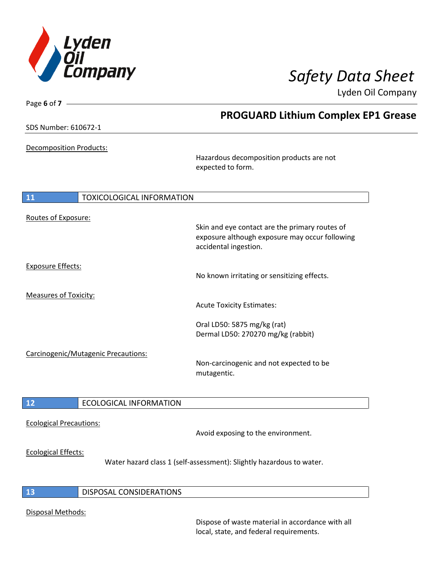

| <b>PROGUARD Lithium Complex EP1 Grease</b><br>SDS Number: 610672-1<br>Decomposition Products:<br>Hazardous decomposition products are not<br>expected to form.<br>11<br><b>TOXICOLOGICAL INFORMATION</b><br>Routes of Exposure:<br>Skin and eye contact are the primary routes of<br>exposure although exposure may occur following<br>accidental ingestion.<br><b>Exposure Effects:</b><br>No known irritating or sensitizing effects.<br><b>Measures of Toxicity:</b><br><b>Acute Toxicity Estimates:</b><br>Oral LD50: 5875 mg/kg (rat)<br>Dermal LD50: 270270 mg/kg (rabbit)<br>Carcinogenic/Mutagenic Precautions:<br>Non-carcinogenic and not expected to be<br>mutagentic.<br><b>ECOLOGICAL INFORMATION</b><br>12<br><b>Ecological Precautions:</b><br>Avoid exposing to the environment.<br><b>Ecological Effects:</b><br>Water hazard class 1 (self-assessment): Slightly hazardous to water.<br><b>DISPOSAL CONSIDERATIONS</b><br>13 | Page 6 of 7 - |  | $50.1$ $\bullet$ $11$ $\bullet$ $0.1$ $\bullet$ $0.1$ $\bullet$ |
|------------------------------------------------------------------------------------------------------------------------------------------------------------------------------------------------------------------------------------------------------------------------------------------------------------------------------------------------------------------------------------------------------------------------------------------------------------------------------------------------------------------------------------------------------------------------------------------------------------------------------------------------------------------------------------------------------------------------------------------------------------------------------------------------------------------------------------------------------------------------------------------------------------------------------------------------|---------------|--|-----------------------------------------------------------------|
|                                                                                                                                                                                                                                                                                                                                                                                                                                                                                                                                                                                                                                                                                                                                                                                                                                                                                                                                                |               |  |                                                                 |
|                                                                                                                                                                                                                                                                                                                                                                                                                                                                                                                                                                                                                                                                                                                                                                                                                                                                                                                                                |               |  |                                                                 |
|                                                                                                                                                                                                                                                                                                                                                                                                                                                                                                                                                                                                                                                                                                                                                                                                                                                                                                                                                |               |  |                                                                 |
|                                                                                                                                                                                                                                                                                                                                                                                                                                                                                                                                                                                                                                                                                                                                                                                                                                                                                                                                                |               |  |                                                                 |
|                                                                                                                                                                                                                                                                                                                                                                                                                                                                                                                                                                                                                                                                                                                                                                                                                                                                                                                                                |               |  |                                                                 |
|                                                                                                                                                                                                                                                                                                                                                                                                                                                                                                                                                                                                                                                                                                                                                                                                                                                                                                                                                |               |  |                                                                 |
|                                                                                                                                                                                                                                                                                                                                                                                                                                                                                                                                                                                                                                                                                                                                                                                                                                                                                                                                                |               |  |                                                                 |
|                                                                                                                                                                                                                                                                                                                                                                                                                                                                                                                                                                                                                                                                                                                                                                                                                                                                                                                                                |               |  |                                                                 |
|                                                                                                                                                                                                                                                                                                                                                                                                                                                                                                                                                                                                                                                                                                                                                                                                                                                                                                                                                |               |  |                                                                 |
|                                                                                                                                                                                                                                                                                                                                                                                                                                                                                                                                                                                                                                                                                                                                                                                                                                                                                                                                                |               |  |                                                                 |
|                                                                                                                                                                                                                                                                                                                                                                                                                                                                                                                                                                                                                                                                                                                                                                                                                                                                                                                                                |               |  |                                                                 |
|                                                                                                                                                                                                                                                                                                                                                                                                                                                                                                                                                                                                                                                                                                                                                                                                                                                                                                                                                |               |  |                                                                 |
|                                                                                                                                                                                                                                                                                                                                                                                                                                                                                                                                                                                                                                                                                                                                                                                                                                                                                                                                                |               |  |                                                                 |
|                                                                                                                                                                                                                                                                                                                                                                                                                                                                                                                                                                                                                                                                                                                                                                                                                                                                                                                                                |               |  |                                                                 |
|                                                                                                                                                                                                                                                                                                                                                                                                                                                                                                                                                                                                                                                                                                                                                                                                                                                                                                                                                |               |  |                                                                 |
|                                                                                                                                                                                                                                                                                                                                                                                                                                                                                                                                                                                                                                                                                                                                                                                                                                                                                                                                                |               |  |                                                                 |

### Disposal Methods:

Dispose of waste material in accordance with all local, state, and federal requirements.